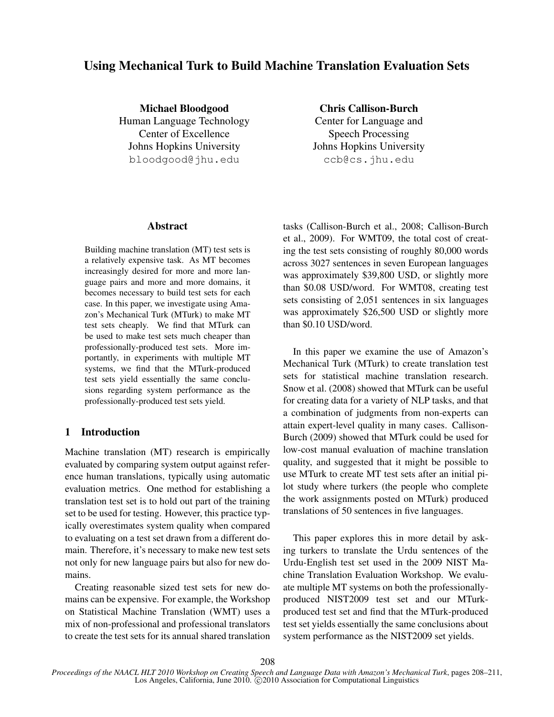# Using Mechanical Turk to Build Machine Translation Evaluation Sets

Michael Bloodgood Human Language Technology Center of Excellence Johns Hopkins University bloodgood@jhu.edu

Chris Callison-Burch Center for Language and Speech Processing Johns Hopkins University ccb@cs.jhu.edu

#### Abstract

Building machine translation (MT) test sets is a relatively expensive task. As MT becomes increasingly desired for more and more language pairs and more and more domains, it becomes necessary to build test sets for each case. In this paper, we investigate using Amazon's Mechanical Turk (MTurk) to make MT test sets cheaply. We find that MTurk can be used to make test sets much cheaper than professionally-produced test sets. More importantly, in experiments with multiple MT systems, we find that the MTurk-produced test sets yield essentially the same conclusions regarding system performance as the professionally-produced test sets yield.

### 1 Introduction

Machine translation (MT) research is empirically evaluated by comparing system output against reference human translations, typically using automatic evaluation metrics. One method for establishing a translation test set is to hold out part of the training set to be used for testing. However, this practice typically overestimates system quality when compared to evaluating on a test set drawn from a different domain. Therefore, it's necessary to make new test sets not only for new language pairs but also for new domains.

Creating reasonable sized test sets for new domains can be expensive. For example, the Workshop on Statistical Machine Translation (WMT) uses a mix of non-professional and professional translators to create the test sets for its annual shared translation tasks (Callison-Burch et al., 2008; Callison-Burch et al., 2009). For WMT09, the total cost of creating the test sets consisting of roughly 80,000 words across 3027 sentences in seven European languages was approximately \$39,800 USD, or slightly more than \$0.08 USD/word. For WMT08, creating test sets consisting of 2,051 sentences in six languages was approximately \$26,500 USD or slightly more than \$0.10 USD/word.

In this paper we examine the use of Amazon's Mechanical Turk (MTurk) to create translation test sets for statistical machine translation research. Snow et al. (2008) showed that MTurk can be useful for creating data for a variety of NLP tasks, and that a combination of judgments from non-experts can attain expert-level quality in many cases. Callison-Burch (2009) showed that MTurk could be used for low-cost manual evaluation of machine translation quality, and suggested that it might be possible to use MTurk to create MT test sets after an initial pilot study where turkers (the people who complete the work assignments posted on MTurk) produced translations of 50 sentences in five languages.

This paper explores this in more detail by asking turkers to translate the Urdu sentences of the Urdu-English test set used in the 2009 NIST Machine Translation Evaluation Workshop. We evaluate multiple MT systems on both the professionallyproduced NIST2009 test set and our MTurkproduced test set and find that the MTurk-produced test set yields essentially the same conclusions about system performance as the NIST2009 set yields.

*Proceedings of the NAACL HLT 2010 Workshop on Creating Speech and Language Data with Amazon's Mechanical Turk*, pages 208–211, Los Angeles, California, June 2010. C 2010 Association for Computational Linguistics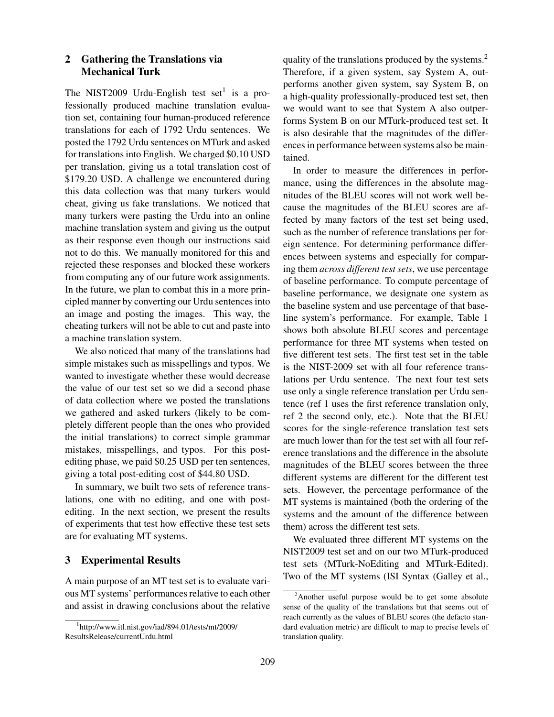## 2 Gathering the Translations via Mechanical Turk

The NIST2009 Urdu-English test set<sup>1</sup> is a professionally produced machine translation evaluation set, containing four human-produced reference translations for each of 1792 Urdu sentences. We posted the 1792 Urdu sentences on MTurk and asked for translations into English. We charged \$0.10 USD per translation, giving us a total translation cost of \$179.20 USD. A challenge we encountered during this data collection was that many turkers would cheat, giving us fake translations. We noticed that many turkers were pasting the Urdu into an online machine translation system and giving us the output as their response even though our instructions said not to do this. We manually monitored for this and rejected these responses and blocked these workers from computing any of our future work assignments. In the future, we plan to combat this in a more principled manner by converting our Urdu sentences into an image and posting the images. This way, the cheating turkers will not be able to cut and paste into a machine translation system.

We also noticed that many of the translations had simple mistakes such as misspellings and typos. We wanted to investigate whether these would decrease the value of our test set so we did a second phase of data collection where we posted the translations we gathered and asked turkers (likely to be completely different people than the ones who provided the initial translations) to correct simple grammar mistakes, misspellings, and typos. For this postediting phase, we paid \$0.25 USD per ten sentences, giving a total post-editing cost of \$44.80 USD.

In summary, we built two sets of reference translations, one with no editing, and one with postediting. In the next section, we present the results of experiments that test how effective these test sets are for evaluating MT systems.

#### 3 Experimental Results

A main purpose of an MT test set is to evaluate various MT systems' performances relative to each other and assist in drawing conclusions about the relative quality of the translations produced by the systems.<sup>2</sup> Therefore, if a given system, say System A, outperforms another given system, say System B, on a high-quality professionally-produced test set, then we would want to see that System A also outperforms System B on our MTurk-produced test set. It is also desirable that the magnitudes of the differences in performance between systems also be maintained.

In order to measure the differences in performance, using the differences in the absolute magnitudes of the BLEU scores will not work well because the magnitudes of the BLEU scores are affected by many factors of the test set being used, such as the number of reference translations per foreign sentence. For determining performance differences between systems and especially for comparing them *across different test sets*, we use percentage of baseline performance. To compute percentage of baseline performance, we designate one system as the baseline system and use percentage of that baseline system's performance. For example, Table 1 shows both absolute BLEU scores and percentage performance for three MT systems when tested on five different test sets. The first test set in the table is the NIST-2009 set with all four reference translations per Urdu sentence. The next four test sets use only a single reference translation per Urdu sentence (ref 1 uses the first reference translation only, ref 2 the second only, etc.). Note that the BLEU scores for the single-reference translation test sets are much lower than for the test set with all four reference translations and the difference in the absolute magnitudes of the BLEU scores between the three different systems are different for the different test sets. However, the percentage performance of the MT systems is maintained (both the ordering of the systems and the amount of the difference between them) across the different test sets.

We evaluated three different MT systems on the NIST2009 test set and on our two MTurk-produced test sets (MTurk-NoEditing and MTurk-Edited). Two of the MT systems (ISI Syntax (Galley et al.,

<sup>1</sup> http://www.itl.nist.gov/iad/894.01/tests/mt/2009/ ResultsRelease/currentUrdu.html

<sup>2</sup>Another useful purpose would be to get some absolute sense of the quality of the translations but that seems out of reach currently as the values of BLEU scores (the defacto standard evaluation metric) are difficult to map to precise levels of translation quality.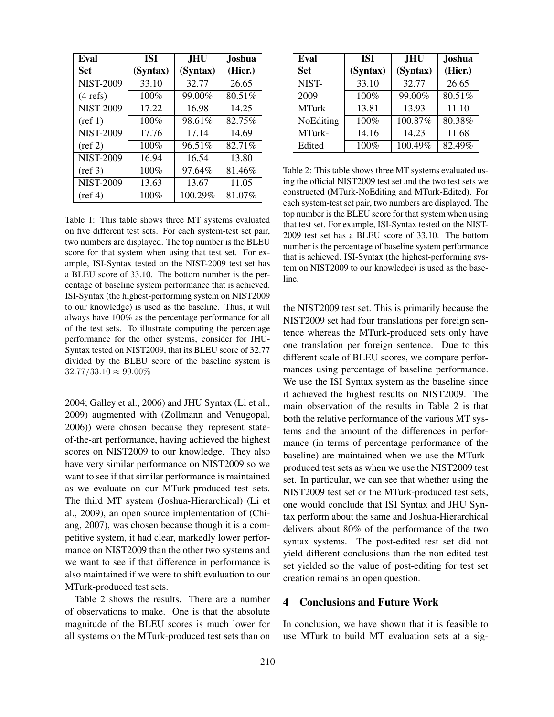| Eval               | <b>ISI</b> | <b>JHU</b> | <b>Joshua</b> |
|--------------------|------------|------------|---------------|
| Set                | (Syntax)   | (Syntax)   | (Hier.)       |
| <b>NIST-2009</b>   | 33.10      | 32.77      | 26.65         |
| $(4 \text{ refs})$ | 100%       | 99.00%     | 80.51%        |
| <b>NIST-2009</b>   | 17.22      | 16.98      | 14.25         |
| $(\text{ref } 1)$  | 100%       | 98.61%     | 82.75%        |
| <b>NIST-2009</b>   | 17.76      | 17.14      | 14.69         |
| $(\text{ref } 2)$  | 100%       | 96.51%     | 82.71%        |
| <b>NIST-2009</b>   | 16.94      | 16.54      | 13.80         |
| $(\text{ref } 3)$  | 100%       | 97.64%     | 81.46%        |
| <b>NIST-2009</b>   | 13.63      | 13.67      | 11.05         |
| $(\text{ref } 4)$  | 100%       | 100.29%    | 81.07%        |

Table 1: This table shows three MT systems evaluated on five different test sets. For each system-test set pair, two numbers are displayed. The top number is the BLEU score for that system when using that test set. For example, ISI-Syntax tested on the NIST-2009 test set has a BLEU score of 33.10. The bottom number is the percentage of baseline system performance that is achieved. ISI-Syntax (the highest-performing system on NIST2009 to our knowledge) is used as the baseline. Thus, it will always have 100% as the percentage performance for all of the test sets. To illustrate computing the percentage performance for the other systems, consider for JHU-Syntax tested on NIST2009, that its BLEU score of 32.77 divided by the BLEU score of the baseline system is  $32.77/33.10 \approx 99.00\%$ 

2004; Galley et al., 2006) and JHU Syntax (Li et al., 2009) augmented with (Zollmann and Venugopal, 2006)) were chosen because they represent stateof-the-art performance, having achieved the highest scores on NIST2009 to our knowledge. They also have very similar performance on NIST2009 so we want to see if that similar performance is maintained as we evaluate on our MTurk-produced test sets. The third MT system (Joshua-Hierarchical) (Li et al., 2009), an open source implementation of (Chiang, 2007), was chosen because though it is a competitive system, it had clear, markedly lower performance on NIST2009 than the other two systems and we want to see if that difference in performance is also maintained if we were to shift evaluation to our MTurk-produced test sets.

Table 2 shows the results. There are a number of observations to make. One is that the absolute magnitude of the BLEU scores is much lower for all systems on the MTurk-produced test sets than on

| Eval       | <b>ISI</b> | <b>JHU</b> | <b>Joshua</b> |
|------------|------------|------------|---------------|
| <b>Set</b> | (Syntax)   | (Syntax)   | (Hier.)       |
| NIST-      | 33.10      | 32.77      | 26.65         |
| 2009       | 100%       | 99.00%     | 80.51%        |
| MTurk-     | 13.81      | 13.93      | 11.10         |
| NoEditing  | 100%       | 100.87%    | 80.38%        |
| MTurk-     | 14.16      | 14.23      | 11.68         |
| Edited     | 100%       | 100.49%    | 82.49%        |

Table 2: This table shows three MT systems evaluated using the official NIST2009 test set and the two test sets we constructed (MTurk-NoEditing and MTurk-Edited). For each system-test set pair, two numbers are displayed. The top number is the BLEU score for that system when using that test set. For example, ISI-Syntax tested on the NIST-2009 test set has a BLEU score of 33.10. The bottom number is the percentage of baseline system performance that is achieved. ISI-Syntax (the highest-performing system on NIST2009 to our knowledge) is used as the baseline.

the NIST2009 test set. This is primarily because the NIST2009 set had four translations per foreign sentence whereas the MTurk-produced sets only have one translation per foreign sentence. Due to this different scale of BLEU scores, we compare performances using percentage of baseline performance. We use the ISI Syntax system as the baseline since it achieved the highest results on NIST2009. The main observation of the results in Table 2 is that both the relative performance of the various MT systems and the amount of the differences in performance (in terms of percentage performance of the baseline) are maintained when we use the MTurkproduced test sets as when we use the NIST2009 test set. In particular, we can see that whether using the NIST2009 test set or the MTurk-produced test sets, one would conclude that ISI Syntax and JHU Syntax perform about the same and Joshua-Hierarchical delivers about 80% of the performance of the two syntax systems. The post-edited test set did not yield different conclusions than the non-edited test set yielded so the value of post-editing for test set creation remains an open question.

## 4 Conclusions and Future Work

In conclusion, we have shown that it is feasible to use MTurk to build MT evaluation sets at a sig